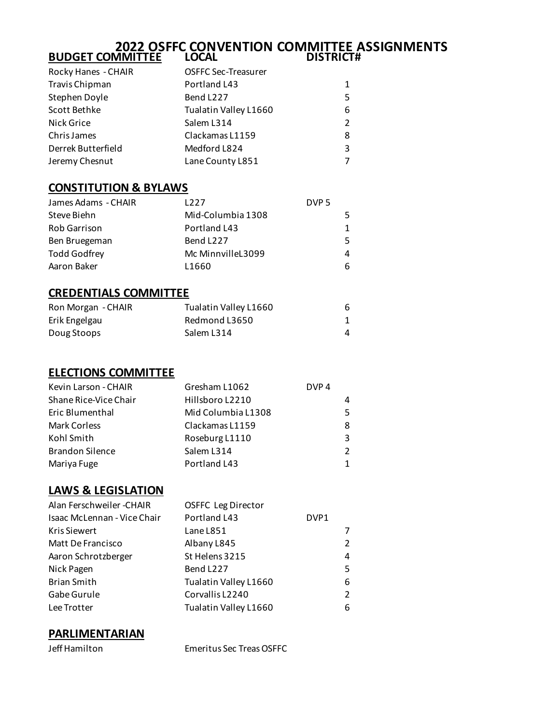#### **2022 OSFFC CONVENTION COMMITTEE ASSIGNMENTS BUDGET COMMITTEE LOCAL DISTRICT#**

| Rocky Hanes - CHAIR | <b>OSFFC Sec-Treasurer</b> |               |
|---------------------|----------------------------|---------------|
| Travis Chipman      | Portland L43               | $\mathbf{1}$  |
| Stephen Doyle       | Bend L227                  | 5             |
| Scott Bethke        | Tualatin Valley L1660      | 6             |
| Nick Grice          | Salem L314                 | $\mathcal{P}$ |
| Chris James         | Clackamas L1159            | 8             |
| Derrek Butterfield  | Medford L824               | 3             |
| Jeremy Chesnut      | Lane County L851           | 7             |

### **CONSTITUTION & BYLAWS**

| James Adams - CHAIR | 1227              | DVP <sub>5</sub> |    |
|---------------------|-------------------|------------------|----|
| Steve Biehn         | Mid-Columbia 1308 |                  | 5  |
| <b>Rob Garrison</b> | Portland L43      |                  | 1  |
| Ben Bruegeman       | Bend L227         |                  | .5 |
| <b>Todd Godfrey</b> | Mc MinnvilleL3099 |                  | 4  |
| Aaron Baker         | L1660             |                  | 6  |

### **CREDENTIALS COMMITTEE**

| Ron Morgan - CHAIR | Tualatin Valley L1660 | 6 |
|--------------------|-----------------------|---|
| Erik Engelgau      | Redmond L3650         |   |
| Doug Stoops        | Salem L314            | 4 |

### **ELECTIONS COMMITTEE**

| Kevin Larson - CHAIR   | Gresham L1062      | DVP <sub>4</sub> |
|------------------------|--------------------|------------------|
| Shane Rice-Vice Chair  | Hillsboro L2210    |                  |
| Eric Blumenthal        | Mid Columbia L1308 |                  |
| Mark Corless           | Clackamas L1159    | 8                |
| Kohl Smith             | Roseburg L1110     | 3                |
| <b>Brandon Silence</b> | Salem L314         | $\mathcal{P}$    |
| Mariya Fuge            | Portland L43       |                  |

### **LAWS & LEGISLATION**

| Alan Ferschweiler - CHAIR   | <b>OSFFC Leg Director</b> |      |                |
|-----------------------------|---------------------------|------|----------------|
| Isaac McLennan - Vice Chair | Portland L43              | DVP1 |                |
| <b>Kris Siewert</b>         | Lane L851                 |      | 7              |
| Matt De Francisco           | Albany L845               |      | $\mathcal{P}$  |
| Aaron Schrotzberger         | St Helens 3215            |      | 4              |
| Nick Pagen                  | Bend L227                 |      | 5              |
| <b>Brian Smith</b>          | Tualatin Valley L1660     |      | 6              |
| Gabe Gurule                 | Corvallis L2240           |      | $\overline{2}$ |
| Lee Trotter                 | Tualatin Valley L1660     |      | 6              |
|                             |                           |      |                |

### **PARLIMENTARIAN**

Jeff Hamilton Emeritus Sec Treas OSFFC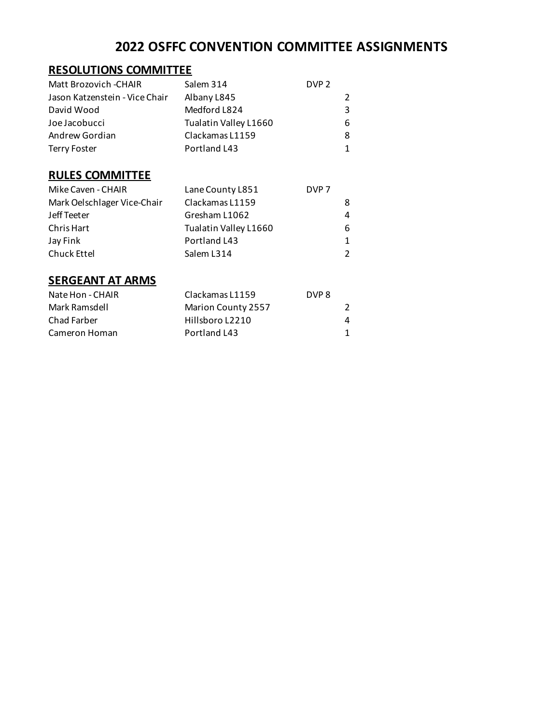# **2022 OSFFC CONVENTION COMMITTEE ASSIGNMENTS**

### **RESOLUTIONS COMMITTEE**

| Matt Brozovich -CHAIR          | Salem 314             | DVP <sub>2</sub> |   |
|--------------------------------|-----------------------|------------------|---|
| Jason Katzenstein - Vice Chair | Albany L845           |                  | 2 |
| David Wood                     | Medford L824          |                  | 3 |
| Joe Jacobucci                  | Tualatin Valley L1660 |                  | 6 |
| Andrew Gordian                 | Clackamas L1159       |                  | 8 |
| <b>Terry Foster</b>            | Portland L43          |                  | 1 |

## **RULES COMMITTEE**

| Mike Caven - CHAIR          | Lane County L851      | DVP <sub>7</sub> |               |
|-----------------------------|-----------------------|------------------|---------------|
| Mark Oelschlager Vice-Chair | Clackamas L1159       |                  | 8             |
| Jeff Teeter                 | Gresham L1062         |                  | 4             |
| Chris Hart                  | Tualatin Valley L1660 |                  | 6             |
| Jay Fink                    | Portland L43          |                  | $\mathbf 1$   |
| <b>Chuck Ettel</b>          | Salem L314            |                  | $\mathcal{P}$ |

### **SERGEANT AT ARMS**

| Nate Hon - CHAIR | Clackamas L1159    | DVP 8 |   |
|------------------|--------------------|-------|---|
| Mark Ramsdell    | Marion County 2557 |       |   |
| Chad Farber      | Hillsboro L2210    |       | 4 |
| Cameron Homan    | Portland L43       |       |   |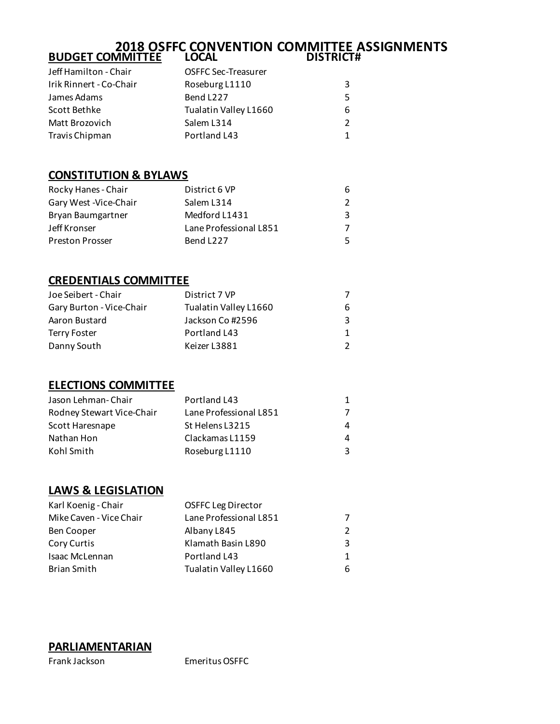#### **2018 OSFFC CONVENTION COMMITTEE ASSIGNMENTS BUDGET COMMITTEE LOCAL DISTRICT#**

| Jeff Hamilton - Chair   | <b>OSFFC Sec-Treasurer</b> |               |
|-------------------------|----------------------------|---------------|
| Irik Rinnert - Co-Chair | Roseburg L1110             | 3             |
| James Adams             | Bend L227                  | .5            |
| Scott Bethke            | Tualatin Valley L1660      | 6             |
| Matt Brozovich          | Salem L314                 | $\mathcal{P}$ |
| Travis Chipman          | Portland L43               | 1             |

### **CONSTITUTION & BYLAWS**

| Rocky Hanes - Chair    | District 6 VP          | 6  |
|------------------------|------------------------|----|
| Gary West - Vice-Chair | Salem L314             | 2  |
| Bryan Baumgartner      | Medford L1431          | 3  |
| Jeff Kronser           | Lane Professional L851 | 7  |
| <b>Preston Prosser</b> | Bend L227              | .5 |

### **CREDENTIALS COMMITTEE**

| Joe Seibert - Chair      | District 7 VP         |             |
|--------------------------|-----------------------|-------------|
| Gary Burton - Vice-Chair | Tualatin Valley L1660 | 6           |
| Aaron Bustard            | Jackson Co #2596      | 3           |
| <b>Terry Foster</b>      | Portland L43          | $\mathbf 1$ |
| Danny South              | Keizer L3881          | 2           |

#### **ELECTIONS COMMITTEE**

| Jason Lehman-Chair        | Portland L43           | 1 |
|---------------------------|------------------------|---|
| Rodney Stewart Vice-Chair | Lane Professional L851 |   |
| Scott Haresnape           | St Helens L3215        | 4 |
| Nathan Hon                | Clackamas L1159        | 4 |
| Kohl Smith                | Roseburg L1110         | 3 |

### **LAWS & LEGISLATION**

| <b>OSFFC Leg Director</b> |               |
|---------------------------|---------------|
| Lane Professional L851    | 7             |
| Albany L845               | $\mathcal{P}$ |
| Klamath Basin L890        | 3             |
| Portland L43              | $\mathbf 1$   |
| Tualatin Valley L1660     | 6             |
|                           |               |

#### **PARLIAMENTARIAN**

Frank Jackson Emeritus OSFFC